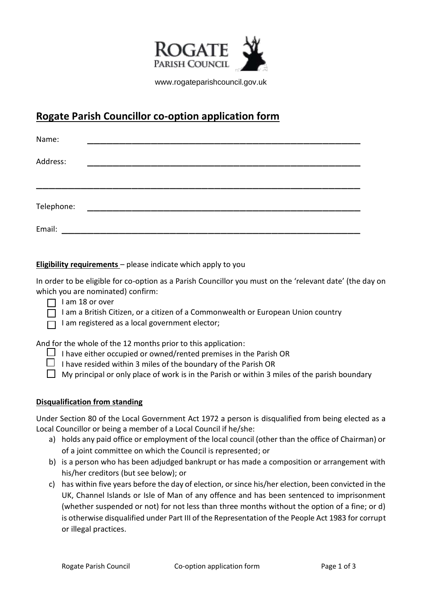

www.rogateparishcouncil.gov.uk

## **Rogate Parish Councillor co-option application form**

| Name:      |  |  |  |  |  |
|------------|--|--|--|--|--|
| Address:   |  |  |  |  |  |
|            |  |  |  |  |  |
|            |  |  |  |  |  |
| Telephone: |  |  |  |  |  |
| Email:     |  |  |  |  |  |

**Eligibility requirements** – please indicate which apply to you

In order to be eligible for co-option as a Parish Councillor you must on the 'relevant date' (the day on which you are nominated) confirm:

- $\Box$  I am 18 or over
- $\Box$  I am a British Citizen, or a citizen of a Commonwealth or European Union country
- $\Box$  I am registered as a local government elector;

And for the whole of the 12 months prior to this application:

- $\Box$  I have either occupied or owned/rented premises in the Parish OR
- I have resided within 3 miles of the boundary of the Parish OR
- $\Box$  My principal or only place of work is in the Parish or within 3 miles of the parish boundary

## **Disqualification from standing**

Under Section 80 of the Local Government Act 1972 a person is disqualified from being elected as a Local Councillor or being a member of a Local Council if he/she:

- a) holds any paid office or employment of the local council (other than the office of Chairman) or of a joint committee on which the Council is represented; or
- b) is a person who has been adjudged bankrupt or has made a composition or arrangement with his/her creditors (but see below); or
- c) has within five years before the day of election, or since his/her election, been convicted in the UK, Channel Islands or Isle of Man of any offence and has been sentenced to imprisonment (whether suspended or not) for not less than three months without the option of a fine; or d) is otherwise disqualified under Part III of the Representation of the People Act 1983 for corrupt or illegal practices.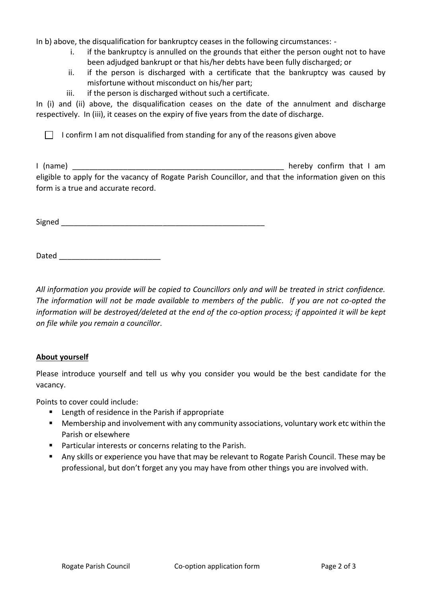In b) above, the disqualification for bankruptcy ceases in the following circumstances: -

- i. if the bankruptcy is annulled on the grounds that either the person ought not to have been adjudged bankrupt or that his/her debts have been fully discharged; or
- ii. if the person is discharged with a certificate that the bankruptcy was caused by misfortune without misconduct on his/her part;
- iii. if the person is discharged without such a certificate.

In (i) and (ii) above, the disqualification ceases on the date of the annulment and discharge respectively. In (iii), it ceases on the expiry of five years from the date of discharge.

 $\Box$  I confirm I am not disqualified from standing for any of the reasons given above

I (name) and the state of the state of the state of the state of the state of the state of the state of the state of the state of the state of the state of the state of the state of the state of the state of the state of t eligible to apply for the vacancy of Rogate Parish Councillor, and that the information given on this form is a true and accurate record.

 $Signed$ 

Dated \_\_\_\_\_\_\_\_\_\_\_\_\_\_\_\_\_\_\_\_\_\_\_\_\_\_\_\_\_\_\_\_\_\_

*All information you provide will be copied to Councillors only and will be treated in strict confidence. The information will not be made available to members of the public. If you are not co-opted the information will be destroyed/deleted at the end of the co-option process; if appointed it will be kept on file while you remain a councillor.* 

## **About yourself**

Please introduce yourself and tell us why you consider you would be the best candidate for the vacancy.

Points to cover could include:

- Length of residence in the Parish if appropriate
- Membership and involvement with any community associations, voluntary work etc within the Parish or elsewhere
- Particular interests or concerns relating to the Parish.
- Any skills or experience you have that may be relevant to Rogate Parish Council. These may be professional, but don't forget any you may have from other things you are involved with.